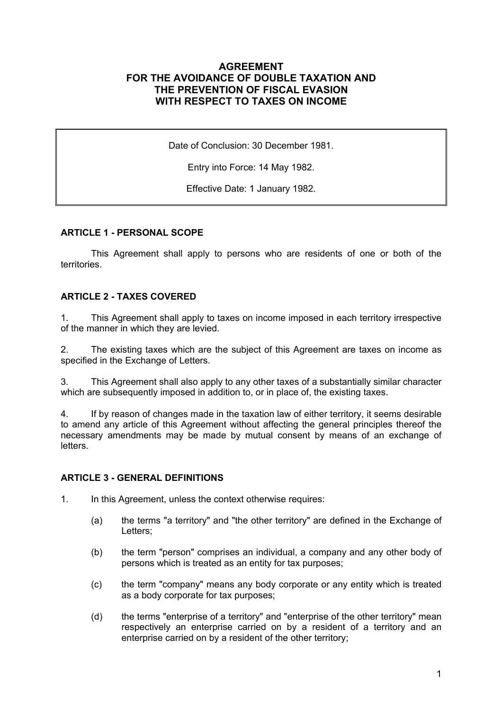## **AGREEMENT FOR THE AVOIDANCE OF DOUBLE TAXATION AND THE PREVENTION OF FISCAL EVASION WITH RESPECT TO TAXES ON INCOME**

Date of Conclusion: 30 December 1981.

Entry into Force: 14 May 1982.

Effective Date: 1 January 1982.

#### **ARTICLE 1 - PERSONAL SCOPE**

This Agreement shall apply to persons who are residents of one or both of the territories.

#### **ARTICLE 2 - TAXES COVERED**

1. This Agreement shall apply to taxes on income imposed in each territory irrespective of the manner in which they are levied.

2. The existing taxes which are the subject of this Agreement are taxes on income as specified in the Exchange of Letters.

3. This Agreement shall also apply to any other taxes of a substantially similar character which are subsequently imposed in addition to, or in place of, the existing taxes.

4. If by reason of changes made in the taxation law of either territory, it seems desirable to amend any article of this Agreement without affecting the general principles thereof the necessary amendments may be made by mutual consent by means of an exchange of letters.

#### **ARTICLE 3 - GENERAL DEFINITIONS**

1. In this Agreement, unless the context otherwise requires:

- (a) the terms "a territory" and "the other territory" are defined in the Exchange of Letters;
- (b) the term "person" comprises an individual, a company and any other body of persons which is treated as an entity for tax purposes;
- (c) the term "company" means any body corporate or any entity which is treated as a body corporate for tax purposes;
- (d) the terms "enterprise of a territory" and "enterprise of the other territory" mean respectively an enterprise carried on by a resident of a territory and an enterprise carried on by a resident of the other territory;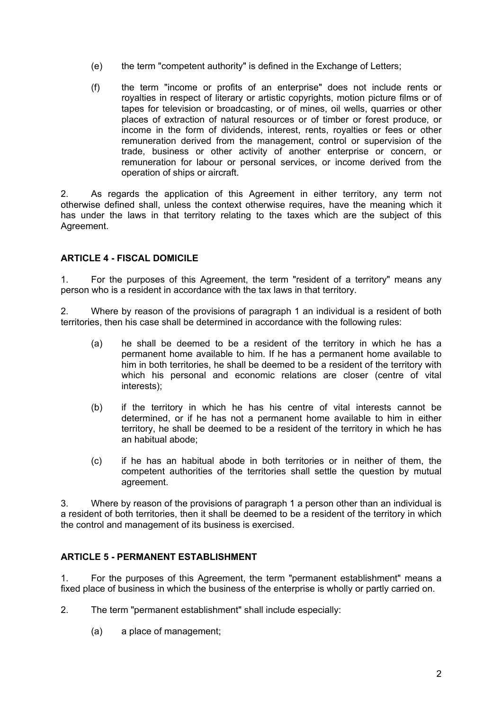- (e) the term "competent authority" is defined in the Exchange of Letters;
- (f) the term "income or profits of an enterprise" does not include rents or royalties in respect of literary or artistic copyrights, motion picture films or of tapes for television or broadcasting, or of mines, oil wells, quarries or other places of extraction of natural resources or of timber or forest produce, or income in the form of dividends, interest, rents, royalties or fees or other remuneration derived from the management, control or supervision of the trade, business or other activity of another enterprise or concern, or remuneration for labour or personal services, or income derived from the operation of ships or aircraft.

2. As regards the application of this Agreement in either territory, any term not otherwise defined shall, unless the context otherwise requires, have the meaning which it has under the laws in that territory relating to the taxes which are the subject of this Agreement.

## **ARTICLE 4 - FISCAL DOMICILE**

1. For the purposes of this Agreement, the term "resident of a territory" means any person who is a resident in accordance with the tax laws in that territory.

2. Where by reason of the provisions of paragraph 1 an individual is a resident of both territories, then his case shall be determined in accordance with the following rules:

- (a) he shall be deemed to be a resident of the territory in which he has a permanent home available to him. If he has a permanent home available to him in both territories, he shall be deemed to be a resident of the territory with which his personal and economic relations are closer (centre of vital interests);
- (b) if the territory in which he has his centre of vital interests cannot be determined, or if he has not a permanent home available to him in either territory, he shall be deemed to be a resident of the territory in which he has an habitual abode;
- (c) if he has an habitual abode in both territories or in neither of them, the competent authorities of the territories shall settle the question by mutual agreement.

3. Where by reason of the provisions of paragraph 1 a person other than an individual is a resident of both territories, then it shall be deemed to be a resident of the territory in which the control and management of its business is exercised.

## **ARTICLE 5 - PERMANENT ESTABLISHMENT**

1. For the purposes of this Agreement, the term "permanent establishment" means a fixed place of business in which the business of the enterprise is wholly or partly carried on.

- 2. The term "permanent establishment" shall include especially:
	- (a) a place of management;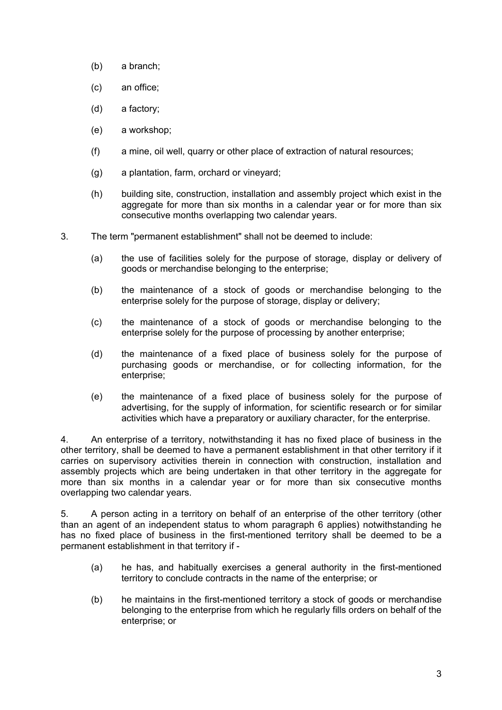- (b) a branch;
- (c) an office;
- (d) a factory;
- (e) a workshop;
- (f) a mine, oil well, quarry or other place of extraction of natural resources;
- (g) a plantation, farm, orchard or vineyard;
- (h) building site, construction, installation and assembly project which exist in the aggregate for more than six months in a calendar year or for more than six consecutive months overlapping two calendar years.
- 3. The term "permanent establishment" shall not be deemed to include:
	- (a) the use of facilities solely for the purpose of storage, display or delivery of goods or merchandise belonging to the enterprise;
	- (b) the maintenance of a stock of goods or merchandise belonging to the enterprise solely for the purpose of storage, display or delivery;
	- (c) the maintenance of a stock of goods or merchandise belonging to the enterprise solely for the purpose of processing by another enterprise;
	- (d) the maintenance of a fixed place of business solely for the purpose of purchasing goods or merchandise, or for collecting information, for the enterprise;
	- (e) the maintenance of a fixed place of business solely for the purpose of advertising, for the supply of information, for scientific research or for similar activities which have a preparatory or auxiliary character, for the enterprise.

4. An enterprise of a territory, notwithstanding it has no fixed place of business in the other territory, shall be deemed to have a permanent establishment in that other territory if it carries on supervisory activities therein in connection with construction, installation and assembly projects which are being undertaken in that other territory in the aggregate for more than six months in a calendar year or for more than six consecutive months overlapping two calendar years.

5. A person acting in a territory on behalf of an enterprise of the other territory (other than an agent of an independent status to whom paragraph 6 applies) notwithstanding he has no fixed place of business in the first-mentioned territory shall be deemed to be a permanent establishment in that territory if -

- (a) he has, and habitually exercises a general authority in the first-mentioned territory to conclude contracts in the name of the enterprise; or
- (b) he maintains in the first-mentioned territory a stock of goods or merchandise belonging to the enterprise from which he regularly fills orders on behalf of the enterprise; or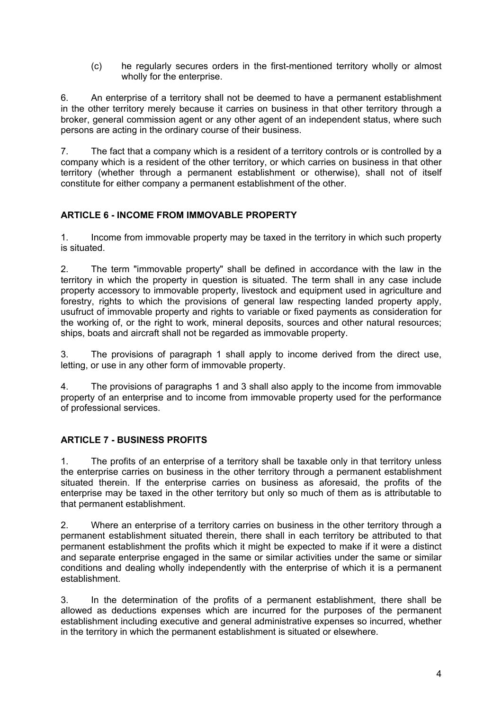(c) he regularly secures orders in the first-mentioned territory wholly or almost wholly for the enterprise.

6. An enterprise of a territory shall not be deemed to have a permanent establishment in the other territory merely because it carries on business in that other territory through a broker, general commission agent or any other agent of an independent status, where such persons are acting in the ordinary course of their business.

7. The fact that a company which is a resident of a territory controls or is controlled by a company which is a resident of the other territory, or which carries on business in that other territory (whether through a permanent establishment or otherwise), shall not of itself constitute for either company a permanent establishment of the other.

## **ARTICLE 6 - INCOME FROM IMMOVABLE PROPERTY**

1. Income from immovable property may be taxed in the territory in which such property is situated.

2. The term "immovable property" shall be defined in accordance with the law in the territory in which the property in question is situated. The term shall in any case include property accessory to immovable property, livestock and equipment used in agriculture and forestry, rights to which the provisions of general law respecting landed property apply, usufruct of immovable property and rights to variable or fixed payments as consideration for the working of, or the right to work, mineral deposits, sources and other natural resources; ships, boats and aircraft shall not be regarded as immovable property.

3. The provisions of paragraph 1 shall apply to income derived from the direct use, letting, or use in any other form of immovable property.

4. The provisions of paragraphs 1 and 3 shall also apply to the income from immovable property of an enterprise and to income from immovable property used for the performance of professional services.

## **ARTICLE 7 - BUSINESS PROFITS**

1. The profits of an enterprise of a territory shall be taxable only in that territory unless the enterprise carries on business in the other territory through a permanent establishment situated therein. If the enterprise carries on business as aforesaid, the profits of the enterprise may be taxed in the other territory but only so much of them as is attributable to that permanent establishment.

2. Where an enterprise of a territory carries on business in the other territory through a permanent establishment situated therein, there shall in each territory be attributed to that permanent establishment the profits which it might be expected to make if it were a distinct and separate enterprise engaged in the same or similar activities under the same or similar conditions and dealing wholly independently with the enterprise of which it is a permanent establishment.

3. In the determination of the profits of a permanent establishment, there shall be allowed as deductions expenses which are incurred for the purposes of the permanent establishment including executive and general administrative expenses so incurred, whether in the territory in which the permanent establishment is situated or elsewhere.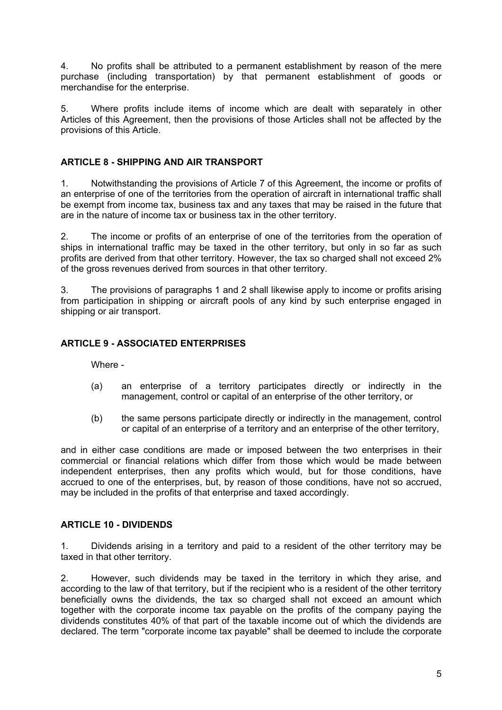4. No profits shall be attributed to a permanent establishment by reason of the mere purchase (including transportation) by that permanent establishment of goods or merchandise for the enterprise.

5. Where profits include items of income which are dealt with separately in other Articles of this Agreement, then the provisions of those Articles shall not be affected by the provisions of this Article.

### **ARTICLE 8 - SHIPPING AND AIR TRANSPORT**

1. Notwithstanding the provisions of Article 7 of this Agreement, the income or profits of an enterprise of one of the territories from the operation of aircraft in international traffic shall be exempt from income tax, business tax and any taxes that may be raised in the future that are in the nature of income tax or business tax in the other territory.

2. The income or profits of an enterprise of one of the territories from the operation of ships in international traffic may be taxed in the other territory, but only in so far as such profits are derived from that other territory. However, the tax so charged shall not exceed 2% of the gross revenues derived from sources in that other territory.

3. The provisions of paragraphs 1 and 2 shall likewise apply to income or profits arising from participation in shipping or aircraft pools of any kind by such enterprise engaged in shipping or air transport.

### **ARTICLE 9 - ASSOCIATED ENTERPRISES**

Where -

- (a) an enterprise of a territory participates directly or indirectly in the management, control or capital of an enterprise of the other territory, or
- (b) the same persons participate directly or indirectly in the management, control or capital of an enterprise of a territory and an enterprise of the other territory,

and in either case conditions are made or imposed between the two enterprises in their commercial or financial relations which differ from those which would be made between independent enterprises, then any profits which would, but for those conditions, have accrued to one of the enterprises, but, by reason of those conditions, have not so accrued, may be included in the profits of that enterprise and taxed accordingly.

#### **ARTICLE 10 - DIVIDENDS**

1. Dividends arising in a territory and paid to a resident of the other territory may be taxed in that other territory.

2. However, such dividends may be taxed in the territory in which they arise, and according to the law of that territory, but if the recipient who is a resident of the other territory beneficially owns the dividends, the tax so charged shall not exceed an amount which together with the corporate income tax payable on the profits of the company paying the dividends constitutes 40% of that part of the taxable income out of which the dividends are declared. The term "corporate income tax payable" shall be deemed to include the corporate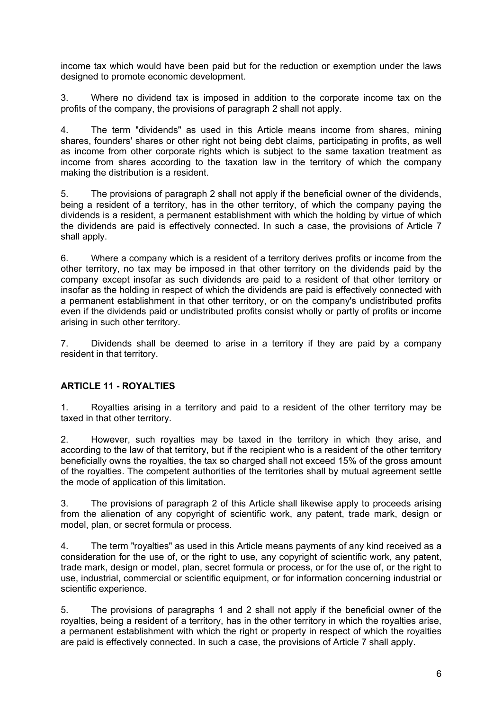income tax which would have been paid but for the reduction or exemption under the laws designed to promote economic development.

3. Where no dividend tax is imposed in addition to the corporate income tax on the profits of the company, the provisions of paragraph 2 shall not apply.

4. The term "dividends" as used in this Article means income from shares, mining shares, founders' shares or other right not being debt claims, participating in profits, as well as income from other corporate rights which is subject to the same taxation treatment as income from shares according to the taxation law in the territory of which the company making the distribution is a resident.

5. The provisions of paragraph 2 shall not apply if the beneficial owner of the dividends, being a resident of a territory, has in the other territory, of which the company paying the dividends is a resident, a permanent establishment with which the holding by virtue of which the dividends are paid is effectively connected. In such a case, the provisions of Article 7 shall apply.

6. Where a company which is a resident of a territory derives profits or income from the other territory, no tax may be imposed in that other territory on the dividends paid by the company except insofar as such dividends are paid to a resident of that other territory or insofar as the holding in respect of which the dividends are paid is effectively connected with a permanent establishment in that other territory, or on the company's undistributed profits even if the dividends paid or undistributed profits consist wholly or partly of profits or income arising in such other territory.

7. Dividends shall be deemed to arise in a territory if they are paid by a company resident in that territory.

## **ARTICLE 11 - ROYALTIES**

1. Royalties arising in a territory and paid to a resident of the other territory may be taxed in that other territory.

2. However, such royalties may be taxed in the territory in which they arise, and according to the law of that territory, but if the recipient who is a resident of the other territory beneficially owns the royalties, the tax so charged shall not exceed 15% of the gross amount of the royalties. The competent authorities of the territories shall by mutual agreement settle the mode of application of this limitation.

3. The provisions of paragraph 2 of this Article shall likewise apply to proceeds arising from the alienation of any copyright of scientific work, any patent, trade mark, design or model, plan, or secret formula or process.

4. The term "royalties" as used in this Article means payments of any kind received as a consideration for the use of, or the right to use, any copyright of scientific work, any patent, trade mark, design or model, plan, secret formula or process, or for the use of, or the right to use, industrial, commercial or scientific equipment, or for information concerning industrial or scientific experience.

5. The provisions of paragraphs 1 and 2 shall not apply if the beneficial owner of the royalties, being a resident of a territory, has in the other territory in which the royalties arise, a permanent establishment with which the right or property in respect of which the royalties are paid is effectively connected. In such a case, the provisions of Article 7 shall apply.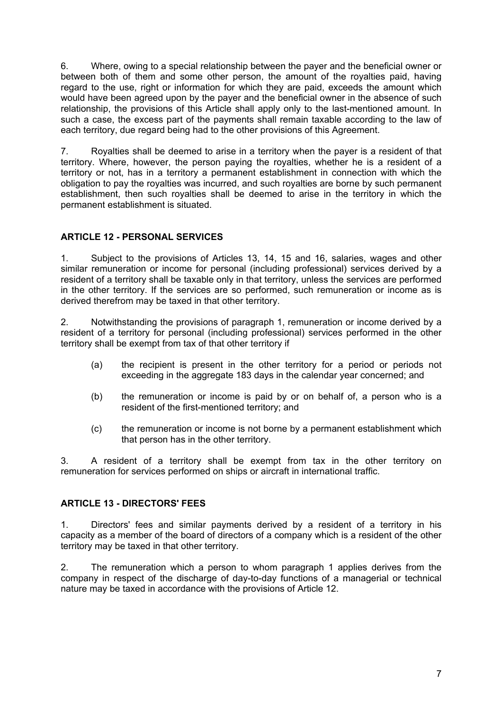6. Where, owing to a special relationship between the payer and the beneficial owner or between both of them and some other person, the amount of the royalties paid, having regard to the use, right or information for which they are paid, exceeds the amount which would have been agreed upon by the payer and the beneficial owner in the absence of such relationship, the provisions of this Article shall apply only to the last-mentioned amount. In such a case, the excess part of the payments shall remain taxable according to the law of each territory, due regard being had to the other provisions of this Agreement.

7. Royalties shall be deemed to arise in a territory when the payer is a resident of that territory. Where, however, the person paying the royalties, whether he is a resident of a territory or not, has in a territory a permanent establishment in connection with which the obligation to pay the royalties was incurred, and such royalties are borne by such permanent establishment, then such royalties shall be deemed to arise in the territory in which the permanent establishment is situated.

# **ARTICLE 12 - PERSONAL SERVICES**

1. Subject to the provisions of Articles 13, 14, 15 and 16, salaries, wages and other similar remuneration or income for personal (including professional) services derived by a resident of a territory shall be taxable only in that territory, unless the services are performed in the other territory. If the services are so performed, such remuneration or income as is derived therefrom may be taxed in that other territory.

2. Notwithstanding the provisions of paragraph 1, remuneration or income derived by a resident of a territory for personal (including professional) services performed in the other territory shall be exempt from tax of that other territory if

- (a) the recipient is present in the other territory for a period or periods not exceeding in the aggregate 183 days in the calendar year concerned; and
- (b) the remuneration or income is paid by or on behalf of, a person who is a resident of the first-mentioned territory; and
- (c) the remuneration or income is not borne by a permanent establishment which that person has in the other territory.

3. A resident of a territory shall be exempt from tax in the other territory on remuneration for services performed on ships or aircraft in international traffic.

## **ARTICLE 13 - DIRECTORS' FEES**

1. Directors' fees and similar payments derived by a resident of a territory in his capacity as a member of the board of directors of a company which is a resident of the other territory may be taxed in that other territory.

2. The remuneration which a person to whom paragraph 1 applies derives from the company in respect of the discharge of day-to-day functions of a managerial or technical nature may be taxed in accordance with the provisions of Article 12.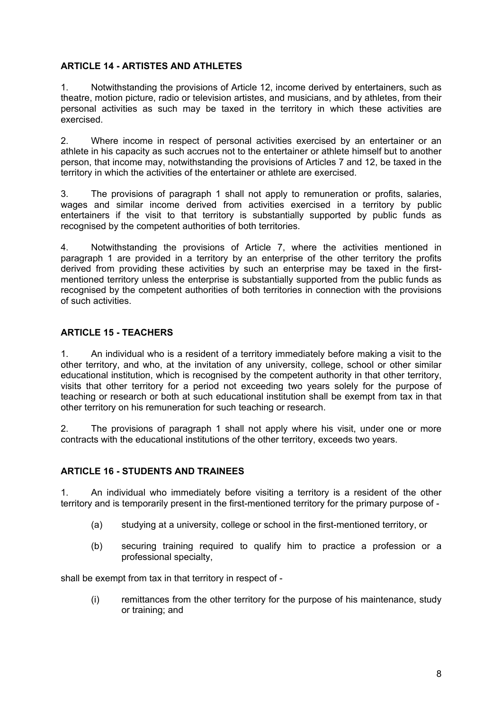#### **ARTICLE 14 - ARTISTES AND ATHLETES**

1. Notwithstanding the provisions of Article 12, income derived by entertainers, such as theatre, motion picture, radio or television artistes, and musicians, and by athletes, from their personal activities as such may be taxed in the territory in which these activities are exercised.

2. Where income in respect of personal activities exercised by an entertainer or an athlete in his capacity as such accrues not to the entertainer or athlete himself but to another person, that income may, notwithstanding the provisions of Articles 7 and 12, be taxed in the territory in which the activities of the entertainer or athlete are exercised.

3. The provisions of paragraph 1 shall not apply to remuneration or profits, salaries, wages and similar income derived from activities exercised in a territory by public entertainers if the visit to that territory is substantially supported by public funds as recognised by the competent authorities of both territories.

4. Notwithstanding the provisions of Article 7, where the activities mentioned in paragraph 1 are provided in a territory by an enterprise of the other territory the profits derived from providing these activities by such an enterprise may be taxed in the firstmentioned territory unless the enterprise is substantially supported from the public funds as recognised by the competent authorities of both territories in connection with the provisions of such activities.

### **ARTICLE 15 - TEACHERS**

1. An individual who is a resident of a territory immediately before making a visit to the other territory, and who, at the invitation of any university, college, school or other similar educational institution, which is recognised by the competent authority in that other territory, visits that other territory for a period not exceeding two years solely for the purpose of teaching or research or both at such educational institution shall be exempt from tax in that other territory on his remuneration for such teaching or research.

2. The provisions of paragraph 1 shall not apply where his visit, under one or more contracts with the educational institutions of the other territory, exceeds two years.

#### **ARTICLE 16 - STUDENTS AND TRAINEES**

1. An individual who immediately before visiting a territory is a resident of the other territory and is temporarily present in the first-mentioned territory for the primary purpose of -

- (a) studying at a university, college or school in the first-mentioned territory, or
- (b) securing training required to qualify him to practice a profession or a professional specialty,

shall be exempt from tax in that territory in respect of -

(i) remittances from the other territory for the purpose of his maintenance, study or training; and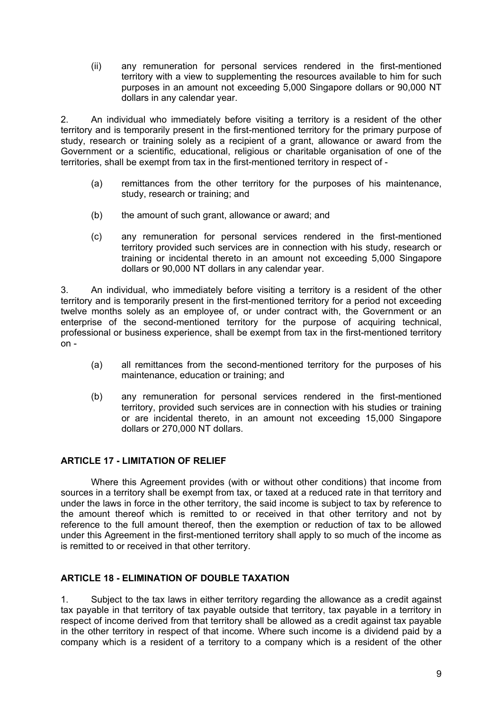(ii) any remuneration for personal services rendered in the first-mentioned territory with a view to supplementing the resources available to him for such purposes in an amount not exceeding 5,000 Singapore dollars or 90,000 NT dollars in any calendar year.

2. An individual who immediately before visiting a territory is a resident of the other territory and is temporarily present in the first-mentioned territory for the primary purpose of study, research or training solely as a recipient of a grant, allowance or award from the Government or a scientific, educational, religious or charitable organisation of one of the territories, shall be exempt from tax in the first-mentioned territory in respect of -

- (a) remittances from the other territory for the purposes of his maintenance, study, research or training; and
- (b) the amount of such grant, allowance or award; and
- (c) any remuneration for personal services rendered in the first-mentioned territory provided such services are in connection with his study, research or training or incidental thereto in an amount not exceeding 5,000 Singapore dollars or 90,000 NT dollars in any calendar year.

3. An individual, who immediately before visiting a territory is a resident of the other territory and is temporarily present in the first-mentioned territory for a period not exceeding twelve months solely as an employee of, or under contract with, the Government or an enterprise of the second-mentioned territory for the purpose of acquiring technical, professional or business experience, shall be exempt from tax in the first-mentioned territory on -

- (a) all remittances from the second-mentioned territory for the purposes of his maintenance, education or training; and
- (b) any remuneration for personal services rendered in the first-mentioned territory, provided such services are in connection with his studies or training or are incidental thereto, in an amount not exceeding 15,000 Singapore dollars or 270,000 NT dollars.

## **ARTICLE 17 - LIMITATION OF RELIEF**

Where this Agreement provides (with or without other conditions) that income from sources in a territory shall be exempt from tax, or taxed at a reduced rate in that territory and under the laws in force in the other territory, the said income is subject to tax by reference to the amount thereof which is remitted to or received in that other territory and not by reference to the full amount thereof, then the exemption or reduction of tax to be allowed under this Agreement in the first-mentioned territory shall apply to so much of the income as is remitted to or received in that other territory.

## **ARTICLE 18 - ELIMINATION OF DOUBLE TAXATION**

1. Subject to the tax laws in either territory regarding the allowance as a credit against tax payable in that territory of tax payable outside that territory, tax payable in a territory in respect of income derived from that territory shall be allowed as a credit against tax payable in the other territory in respect of that income. Where such income is a dividend paid by a company which is a resident of a territory to a company which is a resident of the other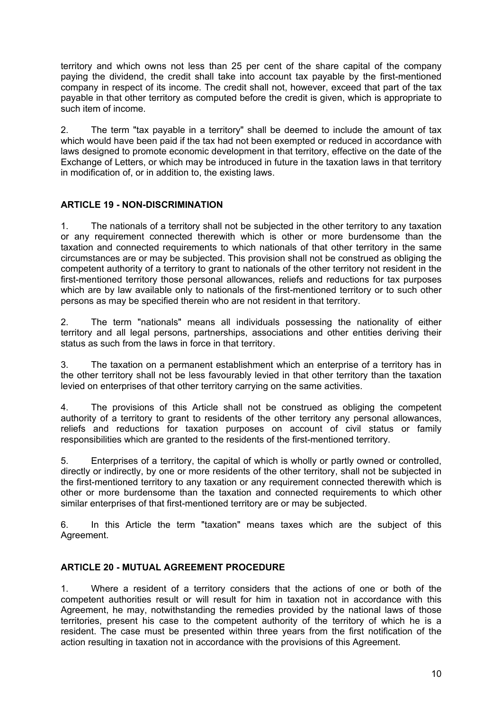territory and which owns not less than 25 per cent of the share capital of the company paying the dividend, the credit shall take into account tax payable by the first-mentioned company in respect of its income. The credit shall not, however, exceed that part of the tax payable in that other territory as computed before the credit is given, which is appropriate to such item of income.

2. The term "tax payable in a territory" shall be deemed to include the amount of tax which would have been paid if the tax had not been exempted or reduced in accordance with laws designed to promote economic development in that territory, effective on the date of the Exchange of Letters, or which may be introduced in future in the taxation laws in that territory in modification of, or in addition to, the existing laws.

# **ARTICLE 19 - NON-DISCRIMINATION**

1. The nationals of a territory shall not be subjected in the other territory to any taxation or any requirement connected therewith which is other or more burdensome than the taxation and connected requirements to which nationals of that other territory in the same circumstances are or may be subjected. This provision shall not be construed as obliging the competent authority of a territory to grant to nationals of the other territory not resident in the first-mentioned territory those personal allowances, reliefs and reductions for tax purposes which are by law available only to nationals of the first-mentioned territory or to such other persons as may be specified therein who are not resident in that territory.

2. The term "nationals" means all individuals possessing the nationality of either territory and all legal persons, partnerships, associations and other entities deriving their status as such from the laws in force in that territory.

3. The taxation on a permanent establishment which an enterprise of a territory has in the other territory shall not be less favourably levied in that other territory than the taxation levied on enterprises of that other territory carrying on the same activities.

4. The provisions of this Article shall not be construed as obliging the competent authority of a territory to grant to residents of the other territory any personal allowances, reliefs and reductions for taxation purposes on account of civil status or family responsibilities which are granted to the residents of the first-mentioned territory.

5. Enterprises of a territory, the capital of which is wholly or partly owned or controlled, directly or indirectly, by one or more residents of the other territory, shall not be subjected in the first-mentioned territory to any taxation or any requirement connected therewith which is other or more burdensome than the taxation and connected requirements to which other similar enterprises of that first-mentioned territory are or may be subjected.

6. In this Article the term "taxation" means taxes which are the subject of this Agreement.

## **ARTICLE 20 - MUTUAL AGREEMENT PROCEDURE**

1. Where a resident of a territory considers that the actions of one or both of the competent authorities result or will result for him in taxation not in accordance with this Agreement, he may, notwithstanding the remedies provided by the national laws of those territories, present his case to the competent authority of the territory of which he is a resident. The case must be presented within three years from the first notification of the action resulting in taxation not in accordance with the provisions of this Agreement.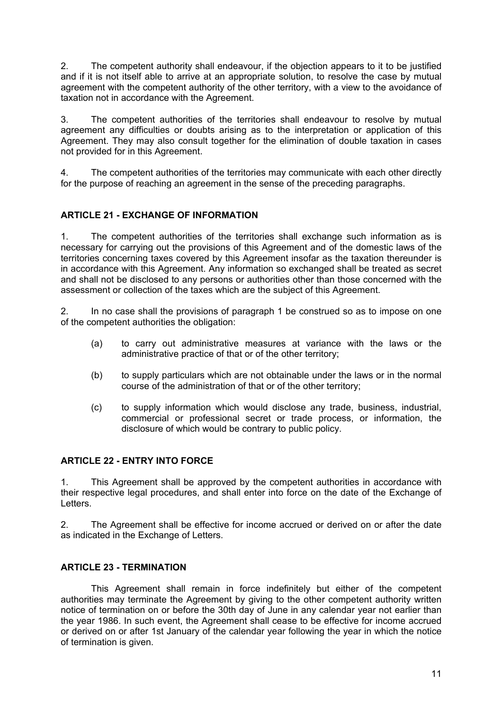2. The competent authority shall endeavour, if the objection appears to it to be justified and if it is not itself able to arrive at an appropriate solution, to resolve the case by mutual agreement with the competent authority of the other territory, with a view to the avoidance of taxation not in accordance with the Agreement.

3. The competent authorities of the territories shall endeavour to resolve by mutual agreement any difficulties or doubts arising as to the interpretation or application of this Agreement. They may also consult together for the elimination of double taxation in cases not provided for in this Agreement.

4. The competent authorities of the territories may communicate with each other directly for the purpose of reaching an agreement in the sense of the preceding paragraphs.

# **ARTICLE 21 - EXCHANGE OF INFORMATION**

1. The competent authorities of the territories shall exchange such information as is necessary for carrying out the provisions of this Agreement and of the domestic laws of the territories concerning taxes covered by this Agreement insofar as the taxation thereunder is in accordance with this Agreement. Any information so exchanged shall be treated as secret and shall not be disclosed to any persons or authorities other than those concerned with the assessment or collection of the taxes which are the subject of this Agreement.

2. In no case shall the provisions of paragraph 1 be construed so as to impose on one of the competent authorities the obligation:

- (a) to carry out administrative measures at variance with the laws or the administrative practice of that or of the other territory;
- (b) to supply particulars which are not obtainable under the laws or in the normal course of the administration of that or of the other territory;
- (c) to supply information which would disclose any trade, business, industrial, commercial or professional secret or trade process, or information, the disclosure of which would be contrary to public policy.

## **ARTICLE 22 - ENTRY INTO FORCE**

1. This Agreement shall be approved by the competent authorities in accordance with their respective legal procedures, and shall enter into force on the date of the Exchange of Letters.

2. The Agreement shall be effective for income accrued or derived on or after the date as indicated in the Exchange of Letters.

# **ARTICLE 23 - TERMINATION**

This Agreement shall remain in force indefinitely but either of the competent authorities may terminate the Agreement by giving to the other competent authority written notice of termination on or before the 30th day of June in any calendar year not earlier than the year 1986. In such event, the Agreement shall cease to be effective for income accrued or derived on or after 1st January of the calendar year following the year in which the notice of termination is given.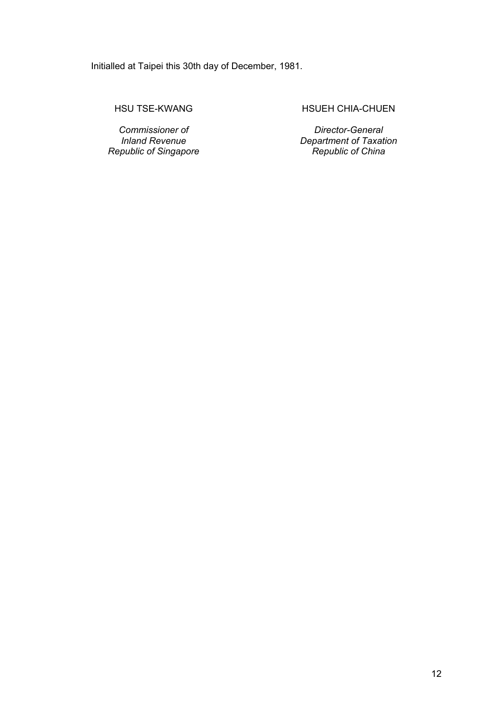Initialled at Taipei this 30th day of December, 1981.

HSU TSE-KWANG

*Commissioner of Inland Revenue Republic of Singapore*  HSUEH CHIA-CHUEN

*Director-General Department of Taxation Republic of China*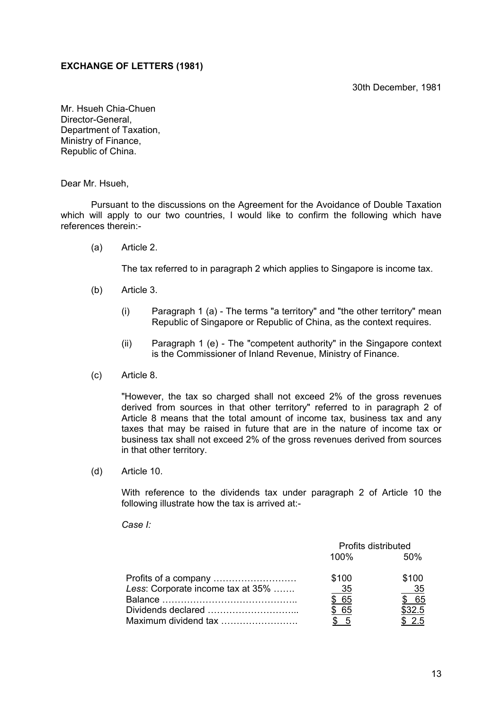#### 30th December, 1981

#### **EXCHANGE OF LETTERS (1981)**

Mr. Hsueh Chia-Chuen Director-General, Department of Taxation, Ministry of Finance, Republic of China.

Dear Mr. Hsueh,

Pursuant to the discussions on the Agreement for the Avoidance of Double Taxation which will apply to our two countries, I would like to confirm the following which have references therein:-

(a) Article 2.

The tax referred to in paragraph 2 which applies to Singapore is income tax.

- (b) Article 3.
	- (i) Paragraph 1 (a) The terms "a territory" and "the other territory" mean Republic of Singapore or Republic of China, as the context requires.
	- (ii) Paragraph 1 (e) The "competent authority" in the Singapore context is the Commissioner of Inland Revenue, Ministry of Finance.
- (c) Article 8.

"However, the tax so charged shall not exceed 2% of the gross revenues derived from sources in that other territory" referred to in paragraph 2 of Article 8 means that the total amount of income tax, business tax and any taxes that may be raised in future that are in the nature of income tax or business tax shall not exceed 2% of the gross revenues derived from sources in that other territory.

(d) Article 10.

With reference to the dividends tax under paragraph 2 of Article 10 the following illustrate how the tax is arrived at:-

 *Case I:* 

|                                   | Profits distributed |        |
|-----------------------------------|---------------------|--------|
|                                   | 100%                | .50%   |
|                                   | \$100               | \$100  |
| Less: Corporate income tax at 35% | - 35                | 35     |
|                                   | \$ 65               | -65    |
|                                   | \$ 65               | \$32.5 |
| Maximum dividend tax              | $\mathcal{L}$       | 25     |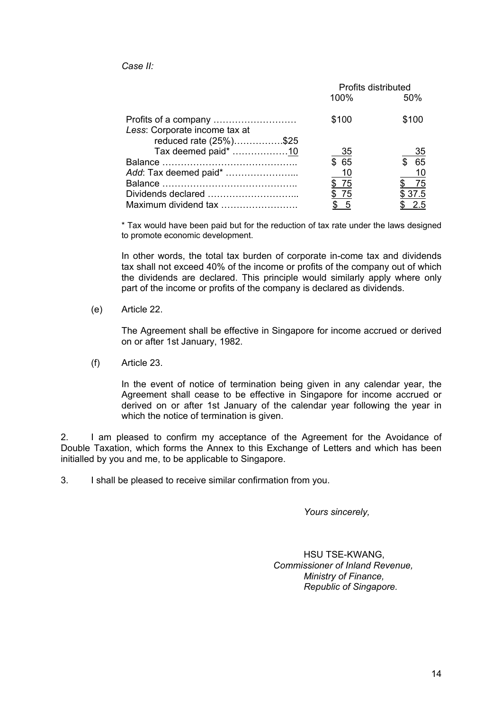*Case II:* 

|                               | Profits distributed |        |
|-------------------------------|---------------------|--------|
|                               | 100%                | 50%    |
|                               | \$100               | \$100  |
| Less: Corporate income tax at |                     |        |
| reduced rate (25%)\$25        |                     |        |
| Tax deemed paid* 10           | 35                  | 35     |
|                               | \$65                | 65     |
| Add: Tax deemed paid*         | <u>10</u>           | 10     |
|                               | \$75                | - 75   |
|                               | \$75                | \$37.5 |
| Maximum dividend tax          | \$5                 | - 2.5  |

\* Tax would have been paid but for the reduction of tax rate under the laws designed to promote economic development.

In other words, the total tax burden of corporate in-come tax and dividends tax shall not exceed 40% of the income or profits of the company out of which the dividends are declared. This principle would similarly apply where only part of the income or profits of the company is declared as dividends.

(e) Article 22.

The Agreement shall be effective in Singapore for income accrued or derived on or after 1st January, 1982.

(f) Article 23.

In the event of notice of termination being given in any calendar year, the Agreement shall cease to be effective in Singapore for income accrued or derived on or after 1st January of the calendar year following the year in which the notice of termination is given.

2. I am pleased to confirm my acceptance of the Agreement for the Avoidance of Double Taxation, which forms the Annex to this Exchange of Letters and which has been initialled by you and me, to be applicable to Singapore.

3. I shall be pleased to receive similar confirmation from you.

*Yours sincerely,* 

HSU TSE-KWANG, *Commissioner of Inland Revenue, Ministry of Finance, Republic of Singapore.*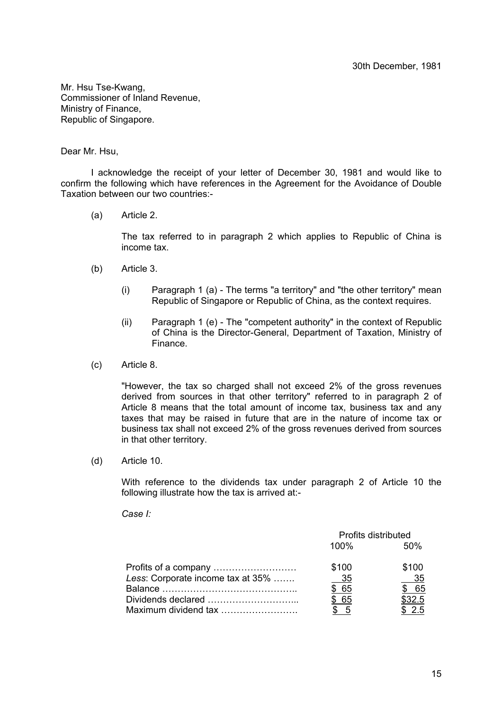Mr. Hsu Tse-Kwang, Commissioner of Inland Revenue, Ministry of Finance, Republic of Singapore.

#### Dear Mr. Hsu,

I acknowledge the receipt of your letter of December 30, 1981 and would like to confirm the following which have references in the Agreement for the Avoidance of Double Taxation between our two countries:-

(a) Article 2.

The tax referred to in paragraph 2 which applies to Republic of China is income tax.

- (b) Article 3.
	- (i) Paragraph 1 (a) The terms "a territory" and "the other territory" mean Republic of Singapore or Republic of China, as the context requires.
	- (ii) Paragraph 1 (e) The "competent authority" in the context of Republic of China is the Director-General, Department of Taxation, Ministry of Finance.
- (c) Article 8.

"However, the tax so charged shall not exceed 2% of the gross revenues derived from sources in that other territory" referred to in paragraph 2 of Article 8 means that the total amount of income tax, business tax and any taxes that may be raised in future that are in the nature of income tax or business tax shall not exceed 2% of the gross revenues derived from sources in that other territory.

(d) Article 10.

With reference to the dividends tax under paragraph 2 of Article 10 the following illustrate how the tax is arrived at:-

 *Case I:* 

|                                   | Profits distributed |        |
|-----------------------------------|---------------------|--------|
|                                   | $100\%$             | 50%    |
|                                   | \$100               | \$100  |
| Less: Corporate income tax at 35% | - 35                | 35     |
|                                   | \$ 65               | - 65   |
|                                   | . 65                | \$32.5 |
| Maximum dividend tax              |                     | 2.5    |